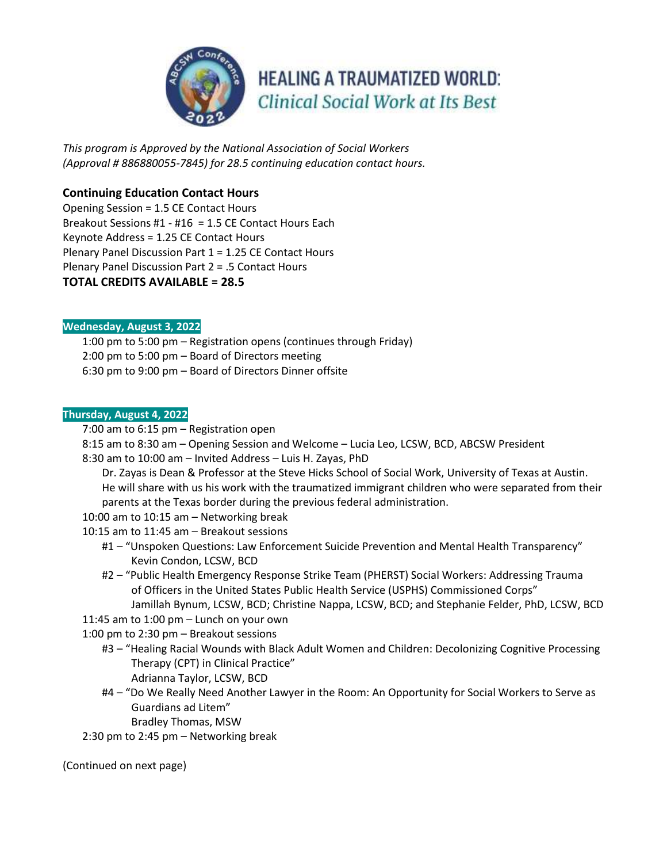

**HEALING A TRAUMATIZED WORLD: Clinical Social Work at Its Best** 

*This program is Approved by the National Association of Social Workers (Approval # 886880055-7845) for 28.5 continuing education contact hours.*

# **Continuing Education Contact Hours**

Opening Session = 1.5 CE Contact Hours Breakout Sessions #1 - #16 = 1.5 CE Contact Hours Each Keynote Address = 1.25 CE Contact Hours Plenary Panel Discussion Part 1 = 1.25 CE Contact Hours Plenary Panel Discussion Part 2 = .5 Contact Hours **TOTAL CREDITS AVAILABLE = 28.5**

# **Wednesday, August 3, 2022**

1:00 pm to 5:00 pm – Registration opens (continues through Friday) 2:00 pm to 5:00 pm – Board of Directors meeting 6:30 pm to 9:00 pm – Board of Directors Dinner offsite

### **Thursday, August 4, 2022**

7:00 am to 6:15 pm – Registration open

8:15 am to 8:30 am – Opening Session and Welcome – Lucia Leo, LCSW, BCD, ABCSW President

8:30 am to 10:00 am – Invited Address – Luis H. Zayas, PhD

Dr. Zayas is Dean & Professor at the Steve Hicks School of Social Work, University of Texas at Austin. He will share with us his work with the traumatized immigrant children who were separated from their parents at the Texas border during the previous federal administration.

10:00 am to 10:15 am – Networking break

10:15 am to 11:45 am – Breakout sessions

- #1 "Unspoken Questions: Law Enforcement Suicide Prevention and Mental Health Transparency" Kevin Condon, LCSW, BCD
- #2 "Public Health Emergency Response Strike Team (PHERST) Social Workers: Addressing Trauma of Officers in the United States Public Health Service (USPHS) Commissioned Corps" Jamillah Bynum, LCSW, BCD; Christine Nappa, LCSW, BCD; and Stephanie Felder, PhD, LCSW, BCD

11:45 am to 1:00 pm – Lunch on your own

1:00 pm to 2:30 pm – Breakout sessions

- #3 "Healing Racial Wounds with Black Adult Women and Children: Decolonizing Cognitive Processing Therapy (CPT) in Clinical Practice" Adrianna Taylor, LCSW, BCD
- #4 "Do We Really Need Another Lawyer in the Room: An Opportunity for Social Workers to Serve as Guardians ad Litem"

Bradley Thomas, MSW

2:30 pm to 2:45 pm – Networking break

(Continued on next page)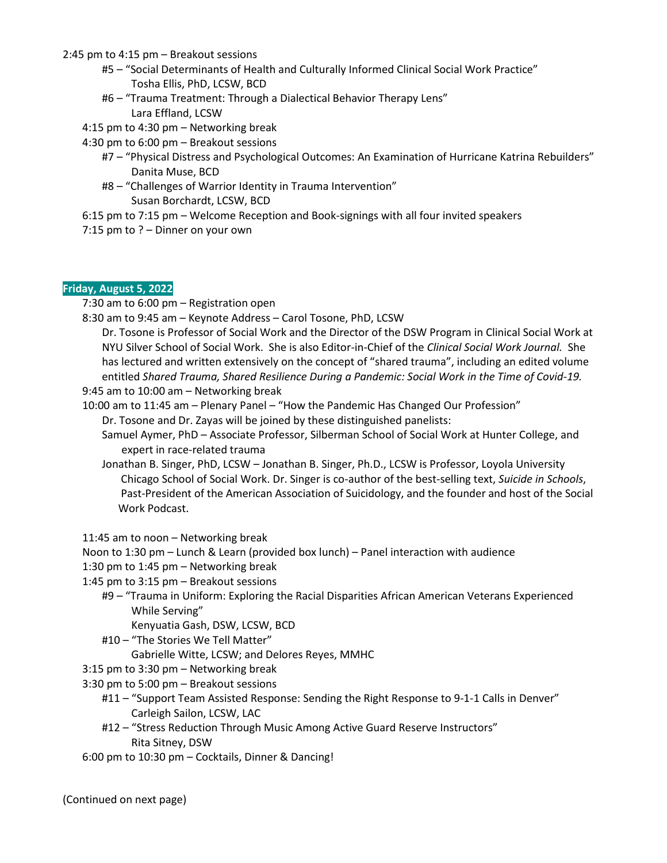#### 2:45 pm to 4:15 pm – Breakout sessions

- #5 "Social Determinants of Health and Culturally Informed Clinical Social Work Practice" Tosha Ellis, PhD, LCSW, BCD
- #6 "Trauma Treatment: Through a Dialectical Behavior Therapy Lens" Lara Effland, LCSW
- 4:15 pm to 4:30 pm Networking break
- 4:30 pm to 6:00 pm Breakout sessions
	- #7 "Physical Distress and Psychological Outcomes: An Examination of Hurricane Katrina Rebuilders" Danita Muse, BCD
	- #8 "Challenges of Warrior Identity in Trauma Intervention" Susan Borchardt, LCSW, BCD
- 6:15 pm to 7:15 pm Welcome Reception and Book-signings with all four invited speakers
- 7:15 pm to ? Dinner on your own

# **Friday, August 5, 2022**

7:30 am to 6:00 pm – Registration open

8:30 am to 9:45 am – Keynote Address – Carol Tosone, PhD, LCSW

Dr. Tosone is Professor of Social Work and the Director of the DSW Program in Clinical Social Work at NYU Silver School of Social Work. She is also Editor-in-Chief of the *Clinical Social Work Journal.* She has lectured and written extensively on the concept of "shared trauma", including an edited volume entitled *Shared Trauma, Shared Resilience During a Pandemic: Social Work in the Time of Covid-19.* 9:45 am to 10:00 am – Networking break

- 10:00 am to 11:45 am Plenary Panel "How the Pandemic Has Changed Our Profession" Dr. Tosone and Dr. Zayas will be joined by these distinguished panelists:
	- Samuel Aymer, PhD Associate Professor, Silberman School of Social Work at Hunter College, and expert in race-related trauma
	- Jonathan B. Singer, PhD, LCSW Jonathan B. Singer, Ph.D., LCSW is Professor, Loyola University Chicago School of Social Work. Dr. Singer is co-author of the best-selling text, *Suicide in Schools*, Past-President of the American Association of Suicidology, and the founder and host of the Social Work Podcast.
- 11:45 am to noon Networking break

Noon to 1:30 pm – Lunch & Learn (provided box lunch) – Panel interaction with audience

- 1:30 pm to 1:45 pm Networking break
- 1:45 pm to 3:15 pm Breakout sessions
	- #9 "Trauma in Uniform: Exploring the Racial Disparities African American Veterans Experienced While Serving"

Kenyuatia Gash, DSW, LCSW, BCD

#10 – "The Stories We Tell Matter"

Gabrielle Witte, LCSW; and Delores Reyes, MMHC

- 3:15 pm to 3:30 pm Networking break
- 3:30 pm to 5:00 pm Breakout sessions
	- #11 "Support Team Assisted Response: Sending the Right Response to 9-1-1 Calls in Denver" Carleigh Sailon, LCSW, LAC
	- #12 "Stress Reduction Through Music Among Active Guard Reserve Instructors" Rita Sitney, DSW
- 6:00 pm to 10:30 pm Cocktails, Dinner & Dancing!